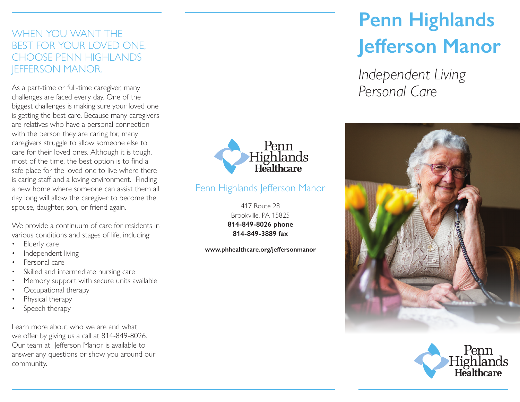### WHEN YOU WANT THE BEST FOR YOUR LOVED ONE, CHOOSE PENN HIGHLANDS JEFFERSON MANOR.

As a part-time or full-time caregiver, many challenges are faced every day. One of the biggest challenges is making sure your loved one is getting the best care. Because many caregivers are relatives who have a personal connection with the person they are caring for, many caregivers struggle to allow someone else to care for their loved ones. Although it is tough, most of the time, the best option is to find a safe place for the loved one to live where there is caring staff and a loving environment. Finding a new home where someone can assist them all day long will allow the caregiver to become the spouse, daughter, son, or friend again.

We provide a continuum of care for residents in various conditions and stages of life, including:

- Elderly care
- Independent living
- Personal care
- Skilled and intermediate nursing care
- Memory support with secure units available
- Occupational therapy
- Physical therapy
- Speech therapy

Learn more about who we are and what we offer by giving us a call at 814-849-8026. Our team at Jefferson Manor is available to answer any questions or show you around our community.



## Penn Highlands Jefferson Manor

417 Route 28 Brookville, PA 15825 **814-849-8026 phone 814-849-3889 fax**

**www.phhealthcare.org/jeffersonmanor**

# **Penn Highlands Jefferson Manor**

*Independent Living Personal Care*